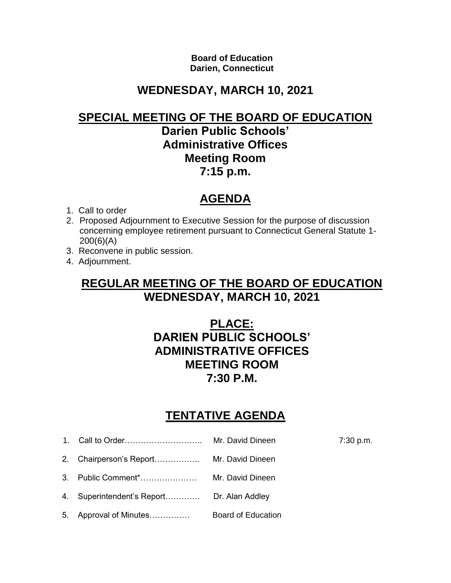**Board of Education Darien, Connecticut**

## **WEDNESDAY, MARCH 10, 2021**

#### **SPECIAL MEETING OF THE BOARD OF EDUCATION**

#### **Darien Public Schools' Administrative Offices Meeting Room 7:15 p.m.**

## **AGENDA**

- 1. Call to order
- 2. Proposed Adjournment to Executive Session for the purpose of discussion concerning employee retirement pursuant to Connecticut General Statute 1- 200(6)(A)
- 3. Reconvene in public session.
- 4. Adjournment.

### **REGULAR MEETING OF THE BOARD OF EDUCATION WEDNESDAY, MARCH 10, 2021**

### **PLACE: DARIEN PUBLIC SCHOOLS' ADMINISTRATIVE OFFICES MEETING ROOM 7:30 P.M.**

# **TENTATIVE AGENDA**

| 1. | Call to Order           | Mr. David Dineen          | $7:30$ p.m. |
|----|-------------------------|---------------------------|-------------|
|    | Chairperson's Report    | Mr. David Dineen          |             |
| 3  | Public Comment*         | Mr. David Dineen          |             |
| 4. | Superintendent's Report | Dr. Alan Addley           |             |
| 5. | Approval of Minutes     | <b>Board of Education</b> |             |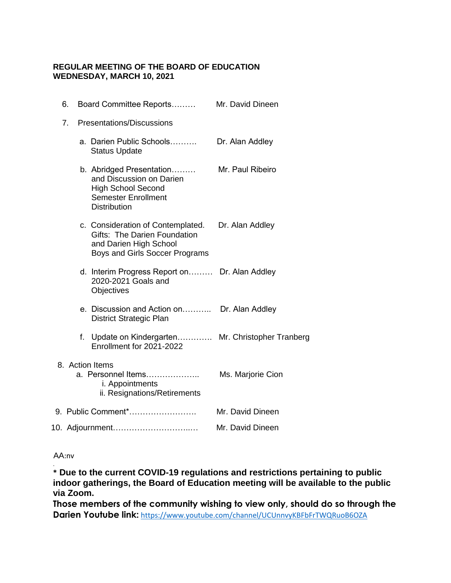#### **REGULAR MEETING OF THE BOARD OF EDUCATION WEDNESDAY, MARCH 10, 2021**

| 6. | Board Committee Reports                                                                                                                | Mr. David Dineen  |
|----|----------------------------------------------------------------------------------------------------------------------------------------|-------------------|
| 7. | <b>Presentations/Discussions</b>                                                                                                       |                   |
|    | a. Darien Public Schools<br><b>Status Update</b>                                                                                       | Dr. Alan Addley   |
|    | b. Abridged Presentation<br>and Discussion on Darien<br><b>High School Second</b><br><b>Semester Enrollment</b><br><b>Distribution</b> | Mr. Paul Ribeiro  |
|    | c. Consideration of Contemplated.<br>Gifts: The Darien Foundation<br>and Darien High School<br>Boys and Girls Soccer Programs          | Dr. Alan Addley   |
|    | d. Interim Progress Report on Dr. Alan Addley<br>2020-2021 Goals and<br>Objectives                                                     |                   |
|    | e. Discussion and Action on<br>District Strategic Plan                                                                                 | Dr. Alan Addley   |
|    | f. Update on Kindergarten Mr. Christopher Tranberg<br>Enrollment for 2021-2022                                                         |                   |
|    | 8. Action Items<br>a. Personnel Items<br>i. Appointments<br>ii. Resignations/Retirements                                               | Ms. Marjorie Cion |
|    | 9. Public Comment*                                                                                                                     | Mr. David Dineen  |
|    | 10. Adjournment                                                                                                                        | Mr. David Dineen  |

#### AA:nv

.

**\* Due to the current COVID-19 regulations and restrictions pertaining to public indoor gatherings, the Board of Education meeting will be available to the public via Zoom.** 

**Those members of the community wishing to view only, should do so through the Darien Youtube link:** <https://www.youtube.com/channel/UCUnnvyKBFbFrTWQRuoB6OZA>